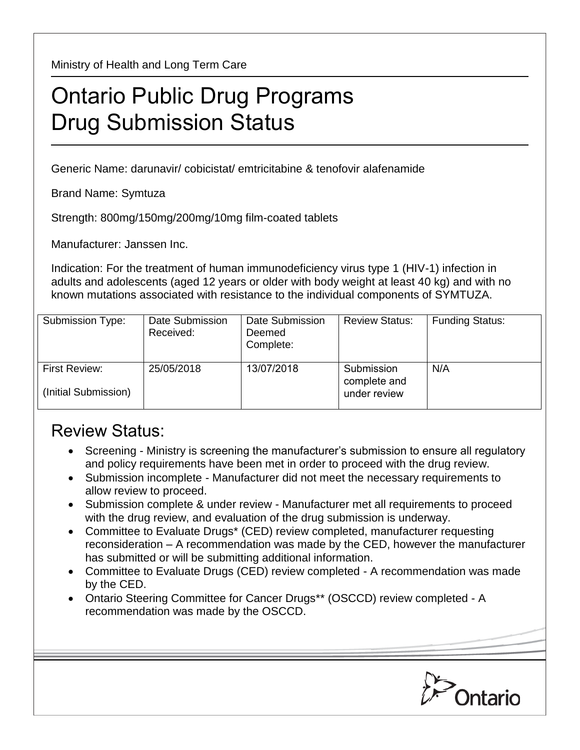Ministry of Health and Long Term Care

## Ontario Public Drug Programs Drug Submission Status

Generic Name: darunavir/ cobicistat/ emtricitabine & tenofovir alafenamide

Brand Name: Symtuza

Strength: 800mg/150mg/200mg/10mg film-coated tablets

Manufacturer: Janssen Inc.

Indication: For the treatment of human immunodeficiency virus type 1 (HIV-1) infection in adults and adolescents (aged 12 years or older with body weight at least 40 kg) and with no known mutations associated with resistance to the individual components of SYMTUZA.

| Submission Type:                      | Date Submission<br>Received: | Date Submission<br>Deemed<br>Complete: | <b>Review Status:</b>                      | <b>Funding Status:</b> |
|---------------------------------------|------------------------------|----------------------------------------|--------------------------------------------|------------------------|
| First Review:<br>(Initial Submission) | 25/05/2018                   | 13/07/2018                             | Submission<br>complete and<br>under review | N/A                    |

## Review Status:

- Screening Ministry is screening the manufacturer's submission to ensure all regulatory and policy requirements have been met in order to proceed with the drug review.
- Submission incomplete Manufacturer did not meet the necessary requirements to allow review to proceed.
- Submission complete & under review Manufacturer met all requirements to proceed with the drug review, and evaluation of the drug submission is underway.
- Committee to Evaluate Drugs\* (CED) review completed, manufacturer requesting reconsideration – A recommendation was made by the CED, however the manufacturer has submitted or will be submitting additional information.
- Committee to Evaluate Drugs (CED) review completed A recommendation was made by the CED.
- Ontario Steering Committee for Cancer Drugs\*\* (OSCCD) review completed A recommendation was made by the OSCCD.